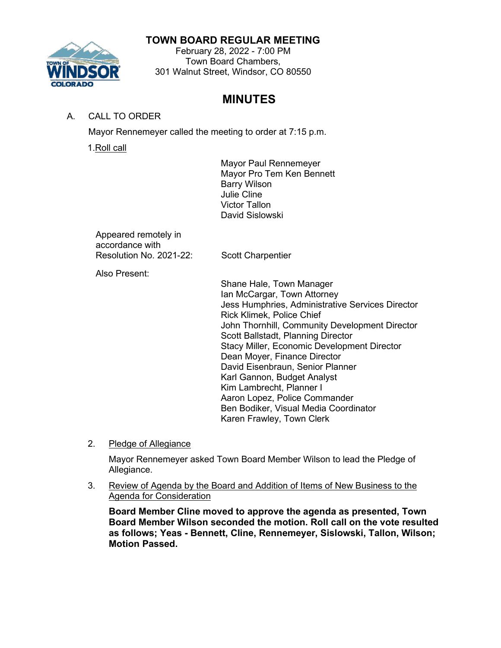# **TOWN BOARD REGULAR MEETING**



February 28, 2022 - 7:00 PM Town Board Chambers, 301 Walnut Street, Windsor, CO 80550

# **MINUTES**

# A. CALL TO ORDER

Mayor Rennemeyer called the meeting to order at 7:15 p.m.

1.Roll call

Mayor Paul Rennemeyer Mayor Pro Tem Ken Bennett Barry Wilson Julie Cline Victor Tallon David Sislowski

Appeared remotely in accordance with Resolution No. 2021-22: Scott Charpentier

Also Present:

Shane Hale, Town Manager Ian McCargar, Town Attorney Jess Humphries, Administrative Services Director Rick Klimek, Police Chief John Thornhill, Community Development Director Scott Ballstadt, Planning Director Stacy Miller, Economic Development Director Dean Moyer, Finance Director David Eisenbraun, Senior Planner Karl Gannon, Budget Analyst Kim Lambrecht, Planner I Aaron Lopez, Police Commander Ben Bodiker, Visual Media Coordinator Karen Frawley, Town Clerk

2. Pledge of Allegiance

Mayor Rennemeyer asked Town Board Member Wilson to lead the Pledge of Allegiance.

3. Review of Agenda by the Board and Addition of Items of New Business to the Agenda for Consideration

**Board Member Cline moved to approve the agenda as presented, Town Board Member Wilson seconded the motion. Roll call on the vote resulted as follows; Yeas - Bennett, Cline, Rennemeyer, Sislowski, Tallon, Wilson; Motion Passed.**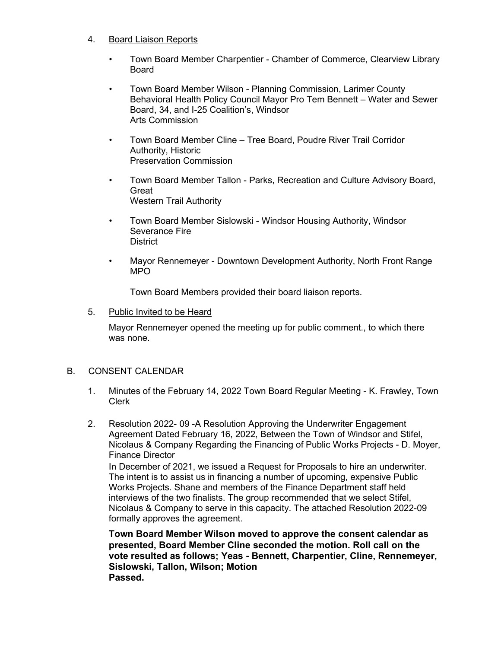## 4. Board Liaison Reports

- Town Board Member Charpentier Chamber of Commerce, Clearview Library Board
- Town Board Member Wilson Planning Commission, Larimer County Behavioral Health Policy Council Mayor Pro Tem Bennett – Water and Sewer Board, 34, and I-25 Coalition's, Windsor Arts Commission
- Town Board Member Cline Tree Board, Poudre River Trail Corridor Authority, Historic Preservation Commission
- Town Board Member Tallon Parks, Recreation and Culture Advisory Board, Great Western Trail Authority
- Town Board Member Sislowski Windsor Housing Authority, Windsor Severance Fire **District**
- Mayor Rennemeyer Downtown Development Authority, North Front Range MPO

Town Board Members provided their board liaison reports.

#### 5. Public Invited to be Heard

Mayor Rennemeyer opened the meeting up for public comment., to which there was none.

#### B. CONSENT CALENDAR

- 1. Minutes of the February 14, 2022 Town Board Regular Meeting K. Frawley, Town Clerk
- 2. Resolution 2022- 09 -A Resolution Approving the Underwriter Engagement Agreement Dated February 16, 2022, Between the Town of Windsor and Stifel, Nicolaus & Company Regarding the Financing of Public Works Projects - D. Moyer, Finance Director

In December of 2021, we issued a Request for Proposals to hire an underwriter. The intent is to assist us in financing a number of upcoming, expensive Public Works Projects. Shane and members of the Finance Department staff held interviews of the two finalists. The group recommended that we select Stifel, Nicolaus & Company to serve in this capacity. The attached Resolution 2022-09 formally approves the agreement.

**Town Board Member Wilson moved to approve the consent calendar as presented, Board Member Cline seconded the motion. Roll call on the vote resulted as follows; Yeas - Bennett, Charpentier, Cline, Rennemeyer, Sislowski, Tallon, Wilson; Motion Passed.**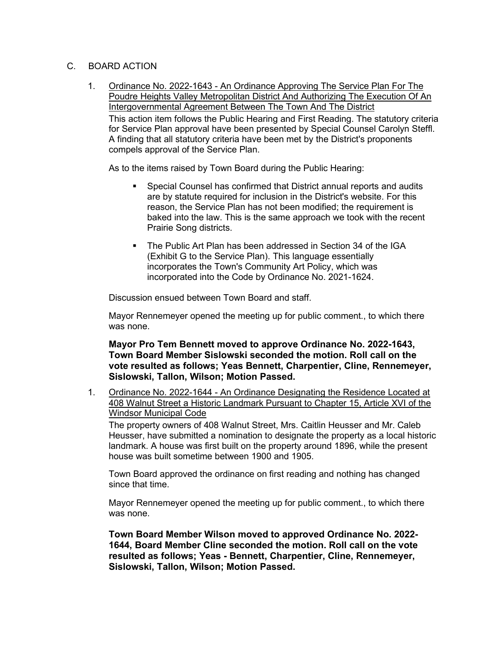# C. BOARD ACTION

1. Ordinance No. 2022-1643 - An Ordinance Approving The Service Plan For The Poudre Heights Valley Metropolitan District And Authorizing The Execution Of An Intergovernmental Agreement Between The Town And The District This action item follows the Public Hearing and First Reading. The statutory criteria for Service Plan approval have been presented by Special Counsel Carolyn Steffl. A finding that all statutory criteria have been met by the District's proponents compels approval of the Service Plan.

As to the items raised by Town Board during the Public Hearing:

- Special Counsel has confirmed that District annual reports and audits are by statute required for inclusion in the District's website. For this reason, the Service Plan has not been modified; the requirement is baked into the law. This is the same approach we took with the recent Prairie Song districts.
- The Public Art Plan has been addressed in Section 34 of the IGA (Exhibit G to the Service Plan). This language essentially incorporates the Town's Community Art Policy, which was incorporated into the Code by Ordinance No. 2021-1624.

Discussion ensued between Town Board and staff.

Mayor Rennemeyer opened the meeting up for public comment., to which there was none.

## **Mayor Pro Tem Bennett moved to approve Ordinance No. 2022-1643, Town Board Member Sislowski seconded the motion. Roll call on the vote resulted as follows; Yeas Bennett, Charpentier, Cline, Rennemeyer, Sislowski, Tallon, Wilson; Motion Passed.**

1. Ordinance No. 2022-1644 - An Ordinance Designating the Residence Located at 408 Walnut Street a Historic Landmark Pursuant to Chapter 15, Article XVI of the Windsor Municipal Code

The property owners of 408 Walnut Street, Mrs. Caitlin Heusser and Mr. Caleb Heusser, have submitted a nomination to designate the property as a local historic landmark. A house was first built on the property around 1896, while the present house was built sometime between 1900 and 1905.

Town Board approved the ordinance on first reading and nothing has changed since that time.

Mayor Rennemeyer opened the meeting up for public comment., to which there was none.

**Town Board Member Wilson moved to approved Ordinance No. 2022- 1644, Board Member Cline seconded the motion. Roll call on the vote resulted as follows; Yeas - Bennett, Charpentier, Cline, Rennemeyer, Sislowski, Tallon, Wilson; Motion Passed.**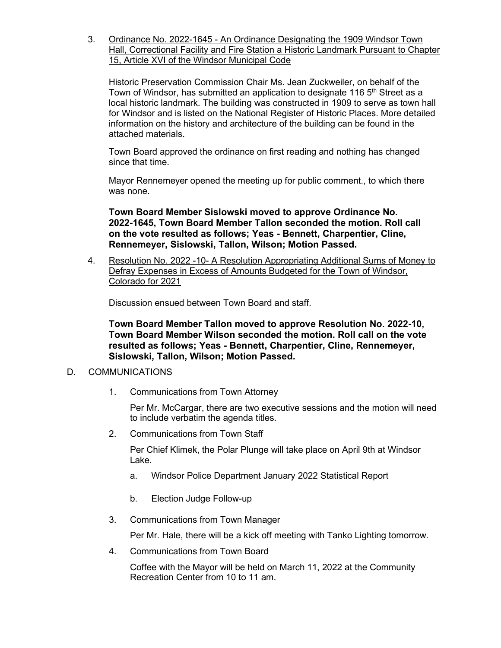3. Ordinance No. 2022-1645 - An Ordinance Designating the 1909 Windsor Town Hall, Correctional Facility and Fire Station a Historic Landmark Pursuant to Chapter 15, Article XVI of the Windsor Municipal Code

Historic Preservation Commission Chair Ms. Jean Zuckweiler, on behalf of the Town of Windsor, has submitted an application to designate 116 5<sup>th</sup> Street as a local historic landmark. The building was constructed in 1909 to serve as town hall for Windsor and is listed on the National Register of Historic Places. More detailed information on the history and architecture of the building can be found in the attached materials.

Town Board approved the ordinance on first reading and nothing has changed since that time.

Mayor Rennemeyer opened the meeting up for public comment., to which there was none.

**Town Board Member Sislowski moved to approve Ordinance No. 2022-1645, Town Board Member Tallon seconded the motion. Roll call on the vote resulted as follows; Yeas - Bennett, Charpentier, Cline, Rennemeyer, Sislowski, Tallon, Wilson; Motion Passed.**

4. Resolution No. 2022 -10- A Resolution Appropriating Additional Sums of Money to Defray Expenses in Excess of Amounts Budgeted for the Town of Windsor, Colorado for 2021

Discussion ensued between Town Board and staff.

**Town Board Member Tallon moved to approve Resolution No. 2022-10, Town Board Member Wilson seconded the motion. Roll call on the vote resulted as follows; Yeas - Bennett, Charpentier, Cline, Rennemeyer, Sislowski, Tallon, Wilson; Motion Passed.**

## D. COMMUNICATIONS

1. Communications from Town Attorney

Per Mr. McCargar, there are two executive sessions and the motion will need to include verbatim the agenda titles.

2. Communications from Town Staff

Per Chief Klimek, the Polar Plunge will take place on April 9th at Windsor Lake.

- a. Windsor Police Department January 2022 Statistical Report
- b. Election Judge Follow-up
- 3. Communications from Town Manager

Per Mr. Hale, there will be a kick off meeting with Tanko Lighting tomorrow.

4. Communications from Town Board

Coffee with the Mayor will be held on March 11, 2022 at the Community Recreation Center from 10 to 11 am.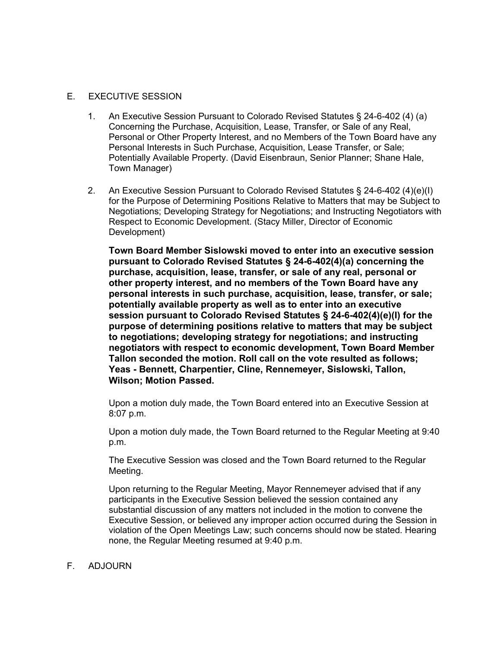#### E. EXECUTIVE SESSION

- 1. An Executive Session Pursuant to Colorado Revised Statutes § 24-6-402 (4) (a) Concerning the Purchase, Acquisition, Lease, Transfer, or Sale of any Real, Personal or Other Property Interest, and no Members of the Town Board have any Personal Interests in Such Purchase, Acquisition, Lease Transfer, or Sale; Potentially Available Property. (David Eisenbraun, Senior Planner; Shane Hale, Town Manager)
- 2. An Executive Session Pursuant to Colorado Revised Statutes § 24-6-402 (4)(e)(I) for the Purpose of Determining Positions Relative to Matters that may be Subject to Negotiations; Developing Strategy for Negotiations; and Instructing Negotiators with Respect to Economic Development. (Stacy Miller, Director of Economic Development)

**Town Board Member Sislowski moved to enter into an executive session pursuant to Colorado Revised Statutes § 24-6-402(4)(a) concerning the purchase, acquisition, lease, transfer, or sale of any real, personal or other property interest, and no members of the Town Board have any personal interests in such purchase, acquisition, lease, transfer, or sale; potentially available property as well as to enter into an executive session pursuant to Colorado Revised Statutes § 24-6-402(4)(e)(I) for the purpose of determining positions relative to matters that may be subject to negotiations; developing strategy for negotiations; and instructing negotiators with respect to economic development, Town Board Member Tallon seconded the motion. Roll call on the vote resulted as follows; Yeas - Bennett, Charpentier, Cline, Rennemeyer, Sislowski, Tallon, Wilson; Motion Passed.**

Upon a motion duly made, the Town Board entered into an Executive Session at 8:07 p.m.

Upon a motion duly made, the Town Board returned to the Regular Meeting at 9:40 p.m.

The Executive Session was closed and the Town Board returned to the Regular Meeting.

Upon returning to the Regular Meeting, Mayor Rennemeyer advised that if any participants in the Executive Session believed the session contained any substantial discussion of any matters not included in the motion to convene the Executive Session, or believed any improper action occurred during the Session in violation of the Open Meetings Law; such concerns should now be stated. Hearing none, the Regular Meeting resumed at 9:40 p.m.

## F. ADJOURN